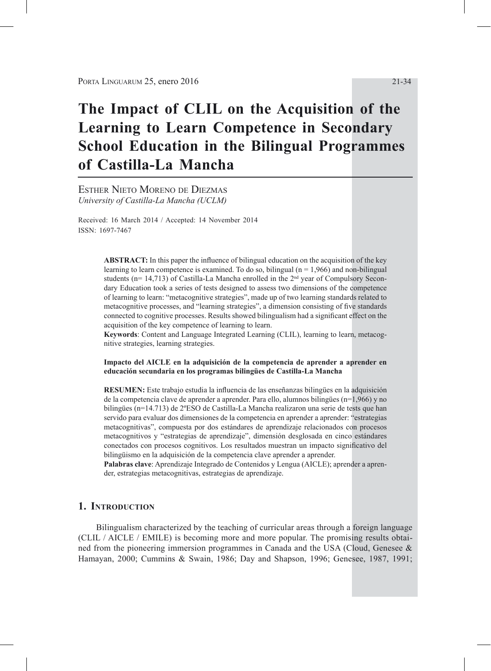# **The Impact of CLIL on the Acquisition of the Learning to Learn Competence in Secondary School Education in the Bilingual Programmes of Castilla-La Mancha**

Esther Nieto Moreno de Diezmas *University of Castilla-La Mancha (UCLM)*

Received: 16 March 2014 / Accepted: 14 November 2014 ISSN: 1697-7467

> **ABSTRACT:** In this paper the influence of bilingual education on the acquisition of the key learning to learn competence is examined. To do so, bilingual ( $n = 1,966$ ) and non-bilingual students ( $n= 14,713$ ) of Castilla-La Mancha enrolled in the  $2<sup>nd</sup>$  year of Compulsory Secondary Education took a series of tests designed to assess two dimensions of the competence of learning to learn: "metacognitive strategies", made up of two learning standards related to metacognitive processes, and "learning strategies", a dimension consisting of five standards connected to cognitive processes. Results showed bilingualism had a significant effect on the acquisition of the key competence of learning to learn.

> **Keywords**: Content and Language Integrated Learning (CLIL), learning to learn, metacognitive strategies, learning strategies.

> **Impacto del AICLE en la adquisición de la competencia de aprender a aprender en educación secundaria en los programas bilingües de Castilla-La Mancha**

> **RESUMEN:** Este trabajo estudia la influencia de las enseñanzas bilingües en la adquisición de la competencia clave de aprender a aprender. Para ello, alumnos bilingües (n=1,966) y no bilingües (n=14.713) de 2ºESO de Castilla-La Mancha realizaron una serie de tests que han servido para evaluar dos dimensiones de la competencia en aprender a aprender: "estrategias metacognitivas", compuesta por dos estándares de aprendizaje relacionados con procesos metacognitivos y "estrategias de aprendizaje", dimensión desglosada en cinco estándares conectados con procesos cognitivos. Los resultados muestran un impacto significativo del bilingüismo en la adquisición de la competencia clave aprender a aprender.

> **Palabras clave**: Aprendizaje Integrado de Contenidos y Lengua (AICLE); aprender a aprender, estrategias metacognitivas, estrategias de aprendizaje.

# **1. Introduction**

Bilingualism characterized by the teaching of curricular areas through a foreign language (CLIL / AICLE / EMILE) is becoming more and more popular. The promising results obtained from the pioneering immersion programmes in Canada and the USA (Cloud, Genesee & Hamayan, 2000; Cummins & Swain, 1986; Day and Shapson, 1996; Genesee, 1987, 1991;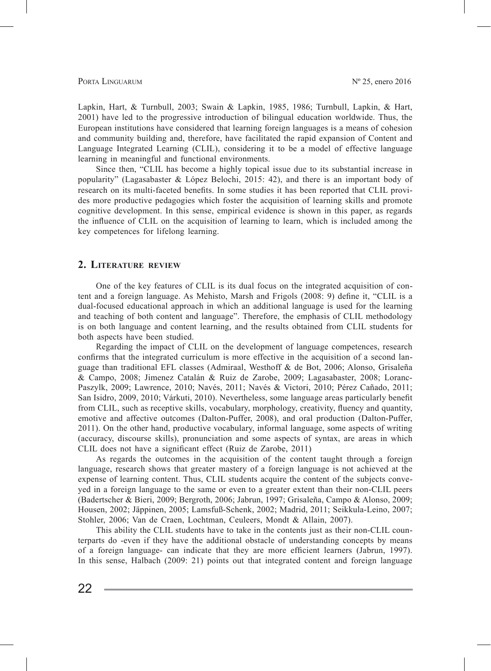Lapkin, Hart, & Turnbull, 2003; Swain & Lapkin, 1985, 1986; Turnbull, Lapkin, & Hart, 2001) have led to the progressive introduction of bilingual education worldwide. Thus, the European institutions have considered that learning foreign languages is a means of cohesion and community building and, therefore, have facilitated the rapid expansion of Content and Language Integrated Learning (CLIL), considering it to be a model of effective language learning in meaningful and functional environments.

Since then, "CLIL has become a highly topical issue due to its substantial increase in popularity" (Lagasabaster & López Belochi, 2015: 42), and there is an important body of research on its multi-faceted benefits. In some studies it has been reported that CLIL provides more productive pedagogies which foster the acquisition of learning skills and promote cognitive development. In this sense, empirical evidence is shown in this paper, as regards the influence of CLIL on the acquisition of learning to learn, which is included among the key competences for lifelong learning.

# **2. Literature review**

One of the key features of CLIL is its dual focus on the integrated acquisition of content and a foreign language. As Mehisto, Marsh and Frigols (2008: 9) define it, "CLIL is a dual-focused educational approach in which an additional language is used for the learning and teaching of both content and language". Therefore, the emphasis of CLIL methodology is on both language and content learning, and the results obtained from CLIL students for both aspects have been studied.

Regarding the impact of CLIL on the development of language competences, research confirms that the integrated curriculum is more effective in the acquisition of a second language than traditional EFL classes (Admiraal, Westhoff & de Bot, 2006; Alonso, Grisaleña & Campo, 2008; Jimenez Catalán & Ruiz de Zarobe, 2009; Lagasabaster, 2008; Loranc-Paszylk, 2009; Lawrence, 2010; Navés, 2011; Navés & Victori, 2010; Pérez Cañado, 2011; San Isidro, 2009, 2010; Várkuti, 2010). Nevertheless, some language areas particularly benefit from CLIL, such as receptive skills, vocabulary, morphology, creativity, fluency and quantity, emotive and affective outcomes (Dalton-Puffer, 2008), and oral production (Dalton-Puffer, 2011). On the other hand, productive vocabulary, informal language, some aspects of writing (accuracy, discourse skills), pronunciation and some aspects of syntax, are areas in which CLIL does not have a significant effect (Ruiz de Zarobe, 2011)

As regards the outcomes in the acquisition of the content taught through a foreign language, research shows that greater mastery of a foreign language is not achieved at the expense of learning content. Thus, CLIL students acquire the content of the subjects conveyed in a foreign language to the same or even to a greater extent than their non-CLIL peers (Badertscher & Bieri, 2009; Bergroth, 2006; Jabrun, 1997; Grisaleña, Campo & Alonso, 2009; Housen, 2002; Jäppinen, 2005; Lamsfuß-Schenk, 2002; Madrid, 2011; Seikkula-Leino, 2007; Stohler, 2006; Van de Craen, Lochtman, Ceuleers, Mondt & Allain, 2007).

This ability the CLIL students have to take in the contents just as their non-CLIL counterparts do -even if they have the additional obstacle of understanding concepts by means of a foreign language- can indicate that they are more efficient learners (Jabrun, 1997). In this sense, Halbach (2009: 21) points out that integrated content and foreign language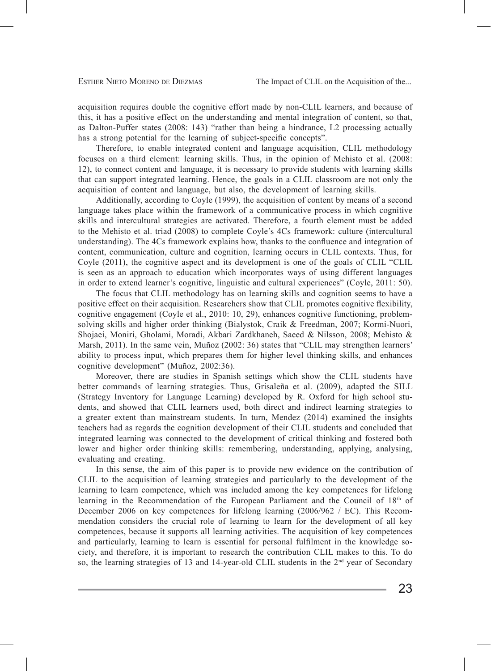acquisition requires double the cognitive effort made by non-CLIL learners, and because of this, it has a positive effect on the understanding and mental integration of content, so that, as Dalton-Puffer states (2008: 143) "rather than being a hindrance, L2 processing actually has a strong potential for the learning of subject-specific concepts".

Therefore, to enable integrated content and language acquisition, CLIL methodology focuses on a third element: learning skills. Thus, in the opinion of Mehisto et al. (2008: 12), to connect content and language, it is necessary to provide students with learning skills that can support integrated learning. Hence, the goals in a CLIL classroom are not only the acquisition of content and language, but also, the development of learning skills.

Additionally, according to Coyle (1999), the acquisition of content by means of a second language takes place within the framework of a communicative process in which cognitive skills and intercultural strategies are activated. Therefore, a fourth element must be added to the Mehisto et al. triad (2008) to complete Coyle's 4Cs framework: culture (intercultural understanding). The 4Cs framework explains how, thanks to the confluence and integration of content, communication, culture and cognition, learning occurs in CLIL contexts. Thus, for Coyle (2011), the cognitive aspect and its development is one of the goals of CLIL "CLIL is seen as an approach to education which incorporates ways of using different languages in order to extend learner's cognitive, linguistic and cultural experiences" (Coyle, 2011: 50).

The focus that CLIL methodology has on learning skills and cognition seems to have a positive effect on their acquisition. Researchers show that CLIL promotes cognitive flexibility, cognitive engagement (Coyle et al., 2010: 10, 29), enhances cognitive functioning, problemsolving skills and higher order thinking (Bialystok, Craik & Freedman, 2007; Kormi-Nuori, Shojaei, Moniri, Gholami, Moradi, Akbari Zardkhaneh, Saeed & Nilsson, 2008; Mehisto & Marsh, 2011). In the same vein, Muñoz (2002: 36) states that "CLIL may strengthen learners' ability to process input, which prepares them for higher level thinking skills, and enhances cognitive development" (Muñoz, 2002:36).

Moreover, there are studies in Spanish settings which show the CLIL students have better commands of learning strategies. Thus, Grisaleña et al. (2009), adapted the SILL (Strategy Inventory for Language Learning) developed by R. Oxford for high school students, and showed that CLIL learners used, both direct and indirect learning strategies to a greater extent than mainstream students. In turn, Mendez (2014) examined the insights teachers had as regards the cognition development of their CLIL students and concluded that integrated learning was connected to the development of critical thinking and fostered both lower and higher order thinking skills: remembering, understanding, applying, analysing, evaluating and creating.

In this sense, the aim of this paper is to provide new evidence on the contribution of CLIL to the acquisition of learning strategies and particularly to the development of the learning to learn competence, which was included among the key competences for lifelong learning in the Recommendation of the European Parliament and the Council of  $18<sup>th</sup>$  of December 2006 on key competences for lifelong learning (2006/962 / EC). This Recommendation considers the crucial role of learning to learn for the development of all key competences, because it supports all learning activities. The acquisition of key competences and particularly, learning to learn is essential for personal fulfilment in the knowledge society, and therefore, it is important to research the contribution CLIL makes to this. To do so, the learning strategies of 13 and 14-year-old CLIL students in the  $2<sup>nd</sup>$  year of Secondary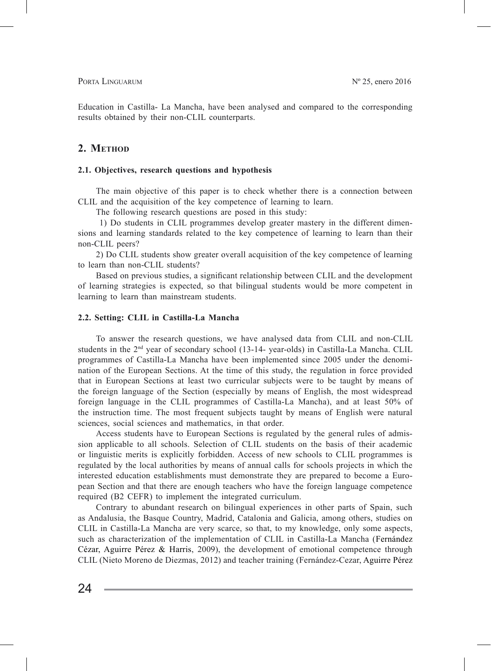Education in Castilla- La Mancha, have been analysed and compared to the corresponding results obtained by their non-CLIL counterparts.

# 2. METHOD

#### **2.1. Objectives, research questions and hypothesis**

The main objective of this paper is to check whether there is a connection between CLIL and the acquisition of the key competence of learning to learn.

The following research questions are posed in this study:

 1) Do students in CLIL programmes develop greater mastery in the different dimensions and learning standards related to the key competence of learning to learn than their non-CLIL peers?

2) Do CLIL students show greater overall acquisition of the key competence of learning to learn than non-CLIL students?

Based on previous studies, a significant relationship between CLIL and the development of learning strategies is expected, so that bilingual students would be more competent in learning to learn than mainstream students.

#### **2.2. Setting: CLIL in Castilla-La Mancha**

To answer the research questions, we have analysed data from CLIL and non-CLIL students in the 2nd year of secondary school (13-14- year-olds) in Castilla-La Mancha. CLIL programmes of Castilla-La Mancha have been implemented since 2005 under the denomination of the European Sections. At the time of this study, the regulation in force provided that in European Sections at least two curricular subjects were to be taught by means of the foreign language of the Section (especially by means of English, the most widespread foreign language in the CLIL programmes of Castilla-La Mancha), and at least 50% of the instruction time. The most frequent subjects taught by means of English were natural sciences, social sciences and mathematics, in that order.

Access students have to European Sections is regulated by the general rules of admission applicable to all schools. Selection of CLIL students on the basis of their academic or linguistic merits is explicitly forbidden. Access of new schools to CLIL programmes is regulated by the local authorities by means of annual calls for schools projects in which the interested education establishments must demonstrate they are prepared to become a European Section and that there are enough teachers who have the foreign language competence required (B2 CEFR) to implement the integrated curriculum.

Contrary to abundant research on bilingual experiences in other parts of Spain, such as Andalusia, the Basque Country, Madrid, Catalonia and Galicia, among others, studies on CLIL in Castilla-La Mancha are very scarce, so that, to my knowledge, only some aspects, such as characterization of the implementation of CLIL in Castilla-La Mancha (Fernández Cézar, Aguirre Pérez & Harris, 2009), the development of emotional competence through CLIL (Nieto Moreno de Diezmas, 2012) and teacher training (Fernández-Cezar, Aguirre Pérez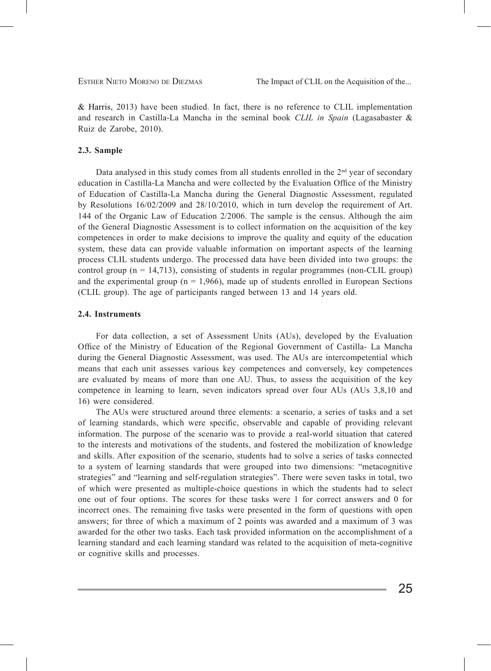& Harris, 2013) have been studied. In fact, there is no reference to CLIL implementation and research in Castilla-La Mancha in the seminal book *CLIL in Spain* (Lagasabaster & Ruiz de Zarobe, 2010).

### **2.3. Sample**

Data analysed in this study comes from all students enrolled in the  $2<sup>nd</sup>$  year of secondary education in Castilla-La Mancha and were collected by the Evaluation Office of the Ministry of Education of Castilla-La Mancha during the General Diagnostic Assessment, regulated by Resolutions 16/02/2009 and 28/10/2010, which in turn develop the requirement of Art. 144 of the Organic Law of Education 2/2006. The sample is the census. Although the aim of the General Diagnostic Assessment is to collect information on the acquisition of the key competences in order to make decisions to improve the quality and equity of the education system, these data can provide valuable information on important aspects of the learning process CLIL students undergo. The processed data have been divided into two groups: the control group ( $n = 14,713$ ), consisting of students in regular programmes (non-CLIL group) and the experimental group ( $n = 1.966$ ), made up of students enrolled in European Sections (CLIL group). The age of participants ranged between 13 and 14 years old.

#### **2.4. Instruments**

For data collection, a set of Assessment Units (AUs), developed by the Evaluation Office of the Ministry of Education of the Regional Government of Castilla- La Mancha during the General Diagnostic Assessment, was used. The AUs are intercompetential which means that each unit assesses various key competences and conversely, key competences are evaluated by means of more than one AU. Thus, to assess the acquisition of the key competence in learning to learn, seven indicators spread over four AUs (AUs 3,8,10 and 16) were considered.

The AUs were structured around three elements: a scenario, a series of tasks and a set of learning standards, which were specific, observable and capable of providing relevant information. The purpose of the scenario was to provide a real-world situation that catered to the interests and motivations of the students, and fostered the mobilization of knowledge and skills. After exposition of the scenario, students had to solve a series of tasks connected to a system of learning standards that were grouped into two dimensions: "metacognitive strategies" and "learning and self-regulation strategies". There were seven tasks in total, two of which were presented as multiple-choice questions in which the students had to select one out of four options. The scores for these tasks were 1 for correct answers and 0 for incorrect ones. The remaining five tasks were presented in the form of questions with open answers; for three of which a maximum of 2 points was awarded and a maximum of 3 was awarded for the other two tasks. Each task provided information on the accomplishment of a learning standard and each learning standard was related to the acquisition of meta-cognitive or cognitive skills and processes.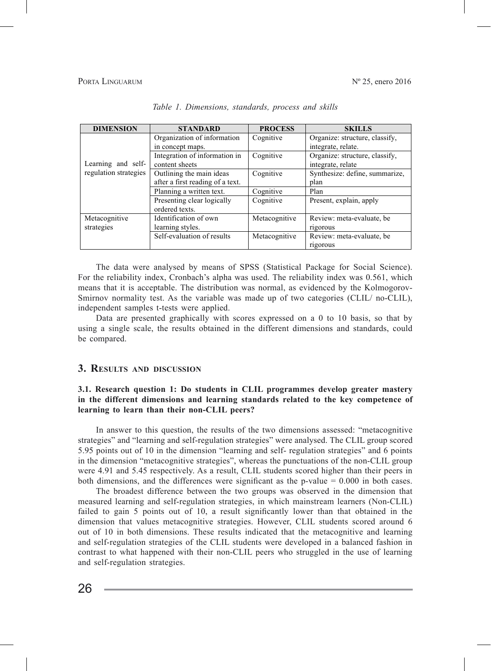#### PORTA LINGUARUM

| <b>DIMENSION</b>                            | <b>STANDARD</b>                                              | <b>PROCESS</b> | <b>SKILLS</b>                                        |
|---------------------------------------------|--------------------------------------------------------------|----------------|------------------------------------------------------|
| Learning and self-<br>regulation strategies | Organization of information<br>in concept maps.              | Cognitive      | Organize: structure, classify,<br>integrate, relate. |
|                                             | Integration of information in<br>content sheets              | Cognitive      | Organize: structure, classify,<br>integrate, relate  |
|                                             | Outlining the main ideas<br>after a first reading of a text. | Cognitive      | Synthesize: define, summarize,<br>plan               |
|                                             | Planning a written text.                                     | Cognitive      | Plan                                                 |
|                                             | Presenting clear logically<br>ordered texts.                 | Cognitive      | Present, explain, apply                              |
| Metacognitive                               | Identification of own                                        | Metacognitive  | Review: meta-evaluate, be                            |
| strategies                                  | learning styles.                                             |                | rigorous                                             |
|                                             | Self-evaluation of results                                   | Metacognitive  | Review: meta-evaluate, be<br>rigorous                |

*Table 1. Dimensions, standards, process and skills Table 1. Dimensions, standards, process and skills.*

The data were analysed by means of SPSS (Statistical Package for Social Science). For the reliability index, Cronbach's alpha was used. The reliability index was 0.561, which means that it is acceptable. The distribution was normal, as evidenced by the Kolmogorov-Smirnov normality test. As the variable was made up of two categories (CLIL/ no-CLIL), independent samples t-tests were applied.

Data are presented graphically with scores expressed on a 0 to 10 basis, so that by Battle presented graphically while scores expressed on a 0 to 10 basis, so that by using a single scale, the results obtained in the different dimensions and standards, could be compared.

#### **different dimensions and learning standards related to the key competence of learning to learn than their non-CLIL peers? 3. Results and discussion**

# **3.1. Research question 1: Do students in CLIL programmes develop greater mastery in the different dimensions and learning standards related to the key competence of learning to learn than their non-CLIL peers?**

In answer to this question, the results of the two dimensions assessed: "metacognitive strategies" and "learning and self-regulation strategies" were analysed. The CLIL group scored 5.95 points out of 10 in the dimension "learning and self- regulation strategies" and 6 points in the dimension "metacognitive strategies", whereas the punctuations of the non-CLIL group were 4.91 and 5.45 respectively. As a result, CLIL students scored higher than their peers in both dimensions, and the differences were significant as the p-value  $= 0.000$  in both cases.

The broadest difference between the two groups was observed in the dimension that measured learning and self-regulation strategies, in which mainstream learners (Non-CLIL) failed to gain 5 points out of 10, a result significantly lower than that obtained in the dimension that values metacognitive strategies. However, CLIL students scored around 6 out of 10 in both dimensions. These results indicated that the metacognitive and learning and self-regulation strategies of the CLIL students were developed in a balanced fashion in contrast to what happened with their non-CLIL peers who struggled in the use of learning and self-regulation strategies.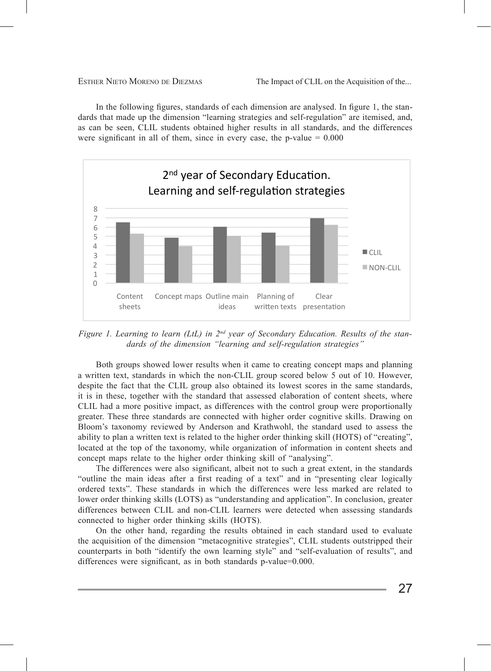In the following figures, standards of each dimension are analysed. In figure 1, the standards that made up the dimension "learning strategies and self-regulation" are itemised, and, as can be seen, CLIL students obtained higher results in all standards, and the differences were significant in all of them, since in every case, the p-value  $= 0.000$ 



*Figure 1. Learning to learn (LtL) in 2<sup>nd</sup> year of Secondary Education. Results of the stan*dards of the dimension "learning and self-regulation strategies"

Both groups showed lower results when it came to creating concept maps and planning a written text, standards in which the hon-CLIL group scored below 5 out of 10. However, despite the fact that the CLIL group also obtained its lowest scores in the same standards, it is in these, together with the standard that assessed elaboration of content sheets, where The ability to plant a written text is related to the model the second to the second stress, where  $CLIL$  had a more positive impact, as differences with the control group were proportionally greater. These three standards are connected with higher order cognitive skills. Drawing on Bloom's taxonomy reviewed by Anderson and Krathwohl, the standard used to assess the domly to plan a written text is related to the higher order dimiking skin (10.15) or creating, concept maps relate to the higher order thinking skill of "analysing". a written text, standards in which the non-CLIL group scored below 5 out of 10. However, ability to plan a written text is related to the higher order thinking skill (HOTS) of "creating",

The differences were also significant, albeit not to such a great extent, in the standards "outline the main ideas after a first reading of a text" and in "presenting clear logically ordered texts". These standards in which the differences were less marked are related to differences between CLIL and non-CLIL learners were detected when assessing standards connected to higher order thinking skills (HOTS). lower order thinking skills (LOTS) as "understanding and application". In conclusion, greater

On the other hand, regarding the results obtained in each standard used to evaluate the acquisition of the dimension "metacognitive strategies", CLIL students outstripped their counterparts in both "identify the own learning style" and "self-evaluation of results", and differences were significant, as in both standards p-value=0.000.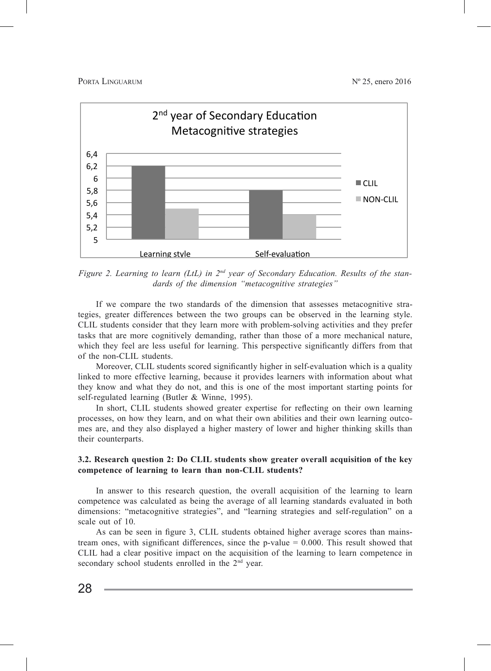PORTA LINGUARUM  $N^{\circ}$  25, enero 2016



Figure 2. Learning to learn (LtL) in 2<sup>nd</sup> year of Secondary Education. Results of the standards of the dimension "metacognitive strategies"

If we compare the two standards of the dimension that assesses metacognitive strategies, greater differences between the two groups can be observed in the learning style. CLIL students consider that they learn more with problem-solving activities and they prefer tasks that are more cognitively demanding, rather than those of a more mechanical nature, which they feel are less useful for learning. This perspective significantly differs from that of the non-CLIL students.

Moreover, CLIL students scored significantly higher in self-evaluation which is a quality linked to more effective learning, because it provides learners with information about what they know and what they do not, and this is one of the most important starting points for self-regulated learning (Butler & Winne, 1995).  $\frac{M}{12}$ 

In short, CLIL students showed greater expertise for reflecting on their own learning processes, on how they learn, and on what their own abilities and their own learning outcomes are, and they also displayed a higher mastery of lower and higher thinking skills than their counterparts.

# 3.2. Research question 2: Do CLIL students show greater overall acquisition of the key competence of learning to learn than non-CLIL students?

In answer to this research question, the overall acquisition of the learning to learn competence was calculated as being the average of all learning standards evaluated in both dimensions: "metacognitive strategies", and "learning strategies and self-regulation" on a scale out of  $10$ .

As can be seen in figure 3, CLIL students obtained higher average scores than mainstream ones, with significant differences, since the p-value  $= 0.000$ . This result showed that CLIL had a clear positive impact on the acquisition of the learning to learn competence in secondary school students enrolled in the 2<sup>nd</sup> year.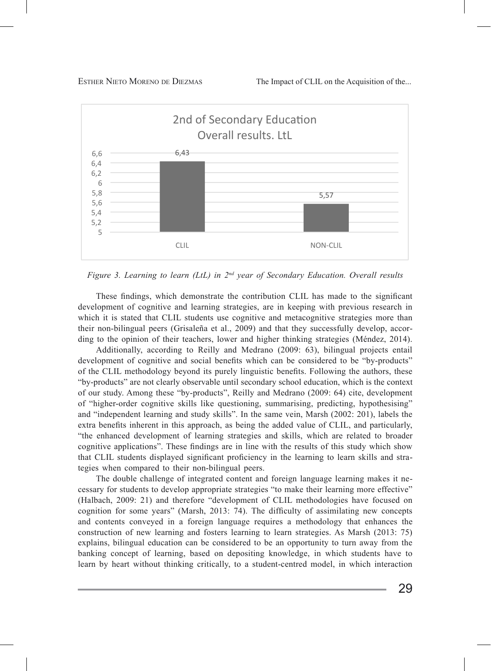

*Figure 3. Learning to learn (LtL) in*  $2^{nd}$  *year of Secondary Education. Overall results* 

These findings, which demonstrate the contribution CLIL has made to the significant development of cognitive and learning strategies, are in keeping with previous research in which it is stated that CLIL students use cognitive and metacognitive strategies more than their non-bilingual peers (Grisaleña et al., 2009) and that they successfully develop, according to the opinion of their teachers, lower and higher thinking strategies (Méndez, 2014).

Additionally, according to Reilly and Medrano (2009: 63), bilingual projects entail development of cognitive and social benefits which can be considered to be "by-products" of the CLIL methodology beyond its purely linguistic benefits. Following the authors, these "by-products" are not clearly observable until secondary school education, which is the context of our study. Among these "by-products", Reilly and Medrano (2009: 64) cite, development of "higher-order cognitive skills like questioning, summarising, predicting, hypothesising" and "independent learning and study skills". In the same vein, Marsh (2002: 201), labels the extra benefits inherent in this approach, as being the added value of CLIL, and particularly, "the enhanced development of learning strategies and skills, which are related to broader cognitive applications". These findings are in line with the results of this study which show Loginive applications. These midings are in the with the results of this study which show that CLIL students displayed significant proficiency in the learning to learn skills and strategies when compared to their non-bilingual peers.

The double challenge of integrated content and foreign language learning makes it necessary for students to develop appropriate strategies "to make their learning more effective" (Halbach, 2009: 21) and therefore "development of CLIL methodologies have focused on cognition for some years" (Marsh, 2013: 74). The difficulty of assimilating new concepts and contents conveyed in a foreign language requires a methodology that enhances the  $\frac{1}{2012}$ construction of new learning and fosters learning to learn strategies. As Marsh (2013: 75)  $\frac{1}{10}$  and bing concept of learning to learning to learn by heart to learn by heart to learn by heart to learn by heart to lea explains, bilingual education can be considered to be an opportunity to turn away from the banking concept of learning, based on depositing knowledge, in which students have to banking concept of learning, based on depositing knowledge, in which students have to enhanced, and the complete the community, called on appointing interacting, in which interaction learn by heart without thinking critically, to a student-centred model, in which interaction

29 strategies and lower and higher order thinking skills (Coyle, Hood and Marsh, 2010) can explain the fact the fact of  $\sim$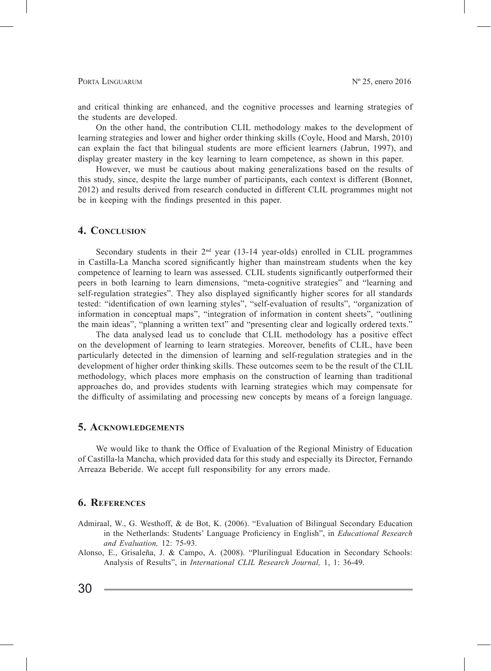and critical thinking are enhanced, and the cognitive processes and learning strategies of the students are developed.

On the other hand, the contribution CLIL methodology makes to the development of learning strategies and lower and higher order thinking skills (Coyle, Hood and Marsh, 2010) can explain the fact that bilingual students are more efficient learners (Jabrun, 1997), and display greater mastery in the key learning to learn competence, as shown in this paper.

However, we must be cautious about making generalizations based on the results of this study, since, despite the large number of participants, each context is different (Bonnet, 2012) and results derived from research conducted in different CLIL programmes might not be in keeping with the findings presented in this paper.

# **4. Conclusion**

Secondary students in their  $2<sup>nd</sup>$  year (13-14 year-olds) enrolled in CLIL programmes in Castilla-La Mancha scored significantly higher than mainstream students when the key competence of learning to learn was assessed. CLIL students significantly outperformed their peers in both learning to learn dimensions, "meta-cognitive strategies" and "learning and self-regulation strategies". They also displayed significantly higher scores for all standards tested: "identification of own learning styles", "self-evaluation of results", "organization of information in conceptual maps", "integration of information in content sheets", "outlining the main ideas", "planning a written text" and "presenting clear and logically ordered texts."

The data analysed lead us to conclude that CLIL methodology has a positive effect on the development of learning to learn strategies. Moreover, benefits of CLIL, have been particularly detected in the dimension of learning and self-regulation strategies and in the development of higher order thinking skills. These outcomes seem to be the result of the CLIL methodology, which places more emphasis on the construction of learning than traditional approaches do, and provides students with learning strategies which may compensate for the difficulty of assimilating and processing new concepts by means of a foreign language.

#### **5. Acknowledgements**

We would like to thank the Office of Evaluation of the Regional Ministry of Education of Castilla-la Mancha, which provided data for this study and especially its Director, Fernando Arreaza Beberide. We accept full responsibility for any errors made.

# **6. References**

- Admiraal, W., G. Westhoff, & de Bot, K. (2006). "Evaluation of Bilingual Secondary Education in the Netherlands: Students' Language Proficiency in English", in *Educational Research and Evaluation,* 12: 75-93.
- Alonso, E., Grisaleña, J. & Campo, A. (2008). "Plurilingual Education in Secondary Schools: Analysis of Results", in *International CLIL Research Journal,* 1, 1: 36-49.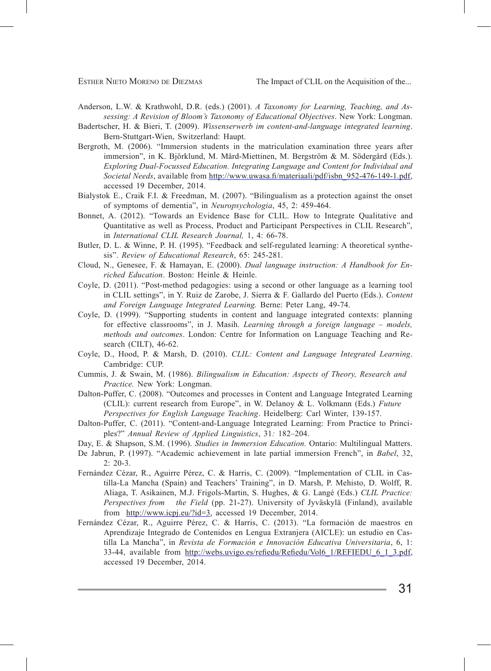Anderson, L.W. & Krathwohl, D.R. (eds.) (2001). *A Taxonomy for Learning, Teaching, and Assessing: A Revision of Bloom's Taxonomy of Educational Objectives*. New York: Longman.

- Badertscher, H. & Bieri, T. (2009). *Wissenserwerb im content-and-language integrated learning*. Bern-Stuttgart-Wien, Switzerland: Haupt.
- Bergroth, M. (2006). "Immersion students in the matriculation examination three years after immersion", in K. Björklund, M. Mård-Miettinen, M. Bergström & M. Södergård (Eds.). *Exploring Dual-Focussed Education. Integrating Language and Content for Individual and Societal Needs*, available from http://www.uwasa.fi/materiaali/pdf/isbn\_952-476-149-1.pdf, accessed 19 December, 2014.
- Bialystok E., Craik F.I. & Freedman, M. (2007). "Bilingualism as a protection against the onset of symptoms of dementia", in *Neuropsychologia*, 45, 2: 459-464.
- Bonnet, A. (2012). "Towards an Evidence Base for CLIL. How to Integrate Qualitative and Quantitative as well as Process, Product and Participant Perspectives in CLIL Research", in *International CLIL Research Journal,* 1, 4: 66-78.
- Butler, D. L. & Winne, P. H. (1995). "Feedback and self-regulated learning: A theoretical synthesis". *Review of Educational Research*, 65: 245-281.
- Cloud, N., Genesee, F. & Hamayan, E. (2000). *Dual language instruction: A Handbook for Enriched Education*. Boston: Heinle & Heinle.
- Coyle, D. (2011). "Post-method pedagogies: using a second or other language as a learning tool in CLIL settings", in Y. Ruiz de Zarobe, J. Sierra & F. Gallardo del Puerto (Eds.). *Content and Foreign Language Integrated Learning.* Berne: Peter Lang, 49-74.
- Coyle, D. (1999). "Supporting students in content and language integrated contexts: planning for effective classrooms", in J. Masih. *Learning through a foreign language – models, methods and outcomes*. London: Centre for Information on Language Teaching and Research (CILT), 46-62.
- Coyle, D., Hood, P. & Marsh, D. (2010). *CLIL: Content and Language Integrated Learning*. Cambridge: CUP.
- Cummis, J. & Swain, M. (1986). *Bilingualism in Education: Aspects of Theory, Research and Practice.* New York: Longman.
- Dalton-Puffer, C. (2008). "Outcomes and processes in Content and Language Integrated Learning (CLIL): current research from Europe", in W. Delanoy & L. Volkmann (Eds.) *Future Perspectives for English Language Teaching*. Heidelberg: Carl Winter, 139-157.
- Dalton-Puffer, C. (2011). "Content-and-Language Integrated Learning: From Practice to Principles?" *Annual Review of Applied Linguistics*, 31*:* 182–204.
- Day, E. & Shapson, S.M. (1996). *Studies in Immersion Education.* Ontario: Multilingual Matters.
- De Jabrun, P. (1997). "Academic achievement in late partial immersion French", in *Babel*, 32,  $2: 20-3.$
- Fernández Cézar, R., Aguirre Pérez, C. & Harris, C. (2009). "Implementation of CLIL in Castilla-La Mancha (Spain) and Teachers' Training", in D. Marsh, P. Mehisto, D. Wolff, R. Aliaga, T. Asikainen, M.J. Frigols-Martin, S. Hughes, & G. Langé (Eds.) *CLIL Practice: Perspectives from the Field* (pp. 21-27). University of Jyväskylä (Finland), available from http://www.icpj.eu/?id=3, accessed 19 December, 2014.
- Fernández Cézar, R., Aguirre Pérez, C. & Harris, C. (2013). "La formación de maestros en Aprendizaje Integrado de Contenidos en Lengua Extranjera (AICLE): un estudio en Castilla La Mancha", in *Revista de Formación e Innovación Educativa Universitaria*, 6, 1: 33-44, available from http://webs.uvigo.es/refiedu/Refiedu/Vol6\_1/REFIEDU\_6\_1\_3.pdf, accessed 19 December, 2014.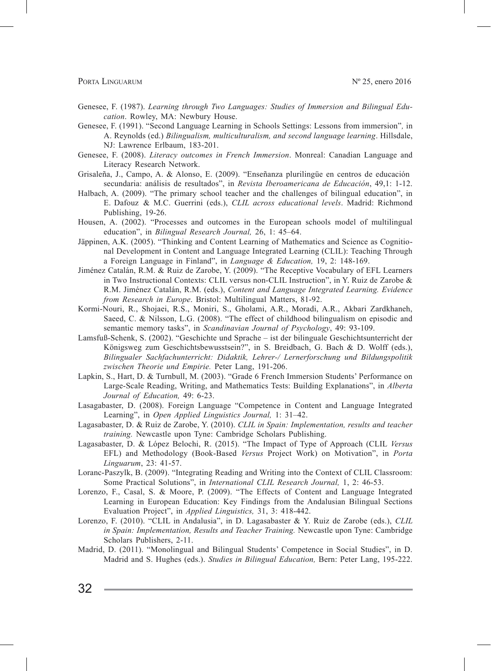- Genesee, F. (1987). *Learning through Two Languages: Studies of Immersion and Bilingual Education*. Rowley, MA: Newbury House.
- Genesee, F. (1991). "Second Language Learning in Schools Settings: Lessons from immersion"*,* in A. Reynolds (ed.) *Bilingualism, multiculturalism, and second language learning*. Hillsdale, NJ: Lawrence Erlbaum, 183-201.
- Genesee, F. (2008). *Literacy outcomes in French Immersion*. Monreal: Canadian Language and Literacy Research Network.
- Grisaleña, J., Campo, A. & Alonso, E. (2009). "Enseñanza plurilingüe en centros de educación secundaria: análisis de resultados", in *Revista Iberoamericana de Educación*, 49,1: 1-12.
- Halbach, A. (2009). "The primary school teacher and the challenges of bilingual education", in E. Dafouz & M.C. Guerrini (eds.), *CLIL across educational levels*. Madrid: Richmond Publishing, 19-26.
- Housen, A. (2002). "Processes and outcomes in the European schools model of multilingual education", in *Bilingual Research Journal,* 26, 1: 45–64.
- Jäppinen, A.K. (2005). "Thinking and Content Learning of Mathematics and Science as Cognitional Development in Content and Language Integrated Learning (CLIL): Teaching Through a Foreign Language in Finland", in *Language & Education,* 19, 2: 148-169.
- Jiménez Catalán, R.M. & Ruiz de Zarobe, Y. (2009). "The Receptive Vocabulary of EFL Learners in Two Instructional Contexts: CLIL versus non-CLIL Instruction", in Y. Ruiz de Zarobe & R.M. Jiménez Catalán, R.M. (eds.), *Content and Language Integrated Learning. Evidence from Research in Europe*. Bristol: Multilingual Matters, 81-92.
- Kormi-Nouri, R., Shojaei, R.S., Moniri, S., Gholami, A.R., Moradi, A.R., Akbari Zardkhaneh, Saeed, C. & Nilsson, L.G. (2008). "The effect of childhood bilingualism on episodic and semantic memory tasks", in *Scandinavian Journal of Psychology*, 49: 93-109.
- Lamsfuß-Schenk, S. (2002). "Geschichte und Sprache ist der bilinguale Geschichtsunterricht der Königsweg zum Geschichtsbewusstsein?", in S. Breidbach, G. Bach & D. Wolff (eds.), *Bilingualer Sachfachunterricht: Didaktik, Lehrer-/ Lernerforschung und Bildungspolitik zwischen Theorie und Empirie.* Peter Lang, 191-206.
- Lapkin, S., Hart, D. & Turnbull, M. (2003). "Grade 6 French Immersion Students' Performance on Large-Scale Reading, Writing, and Mathematics Tests: Building Explanations", in *Alberta Journal of Education,* 49: 6-23.
- Lasagabaster, D. (2008). Foreign Language "Competence in Content and Language Integrated Learning", in *Open Applied Linguistics Journal,* 1: 31–42.
- Lagasabaster, D. & Ruiz de Zarobe, Y. (2010). *CLIL in Spain: Implementation, results and teacher training.* Newcastle upon Tyne: Cambridge Scholars Publishing.
- Lagasabaster, D. & López Belochi, R. (2015). "The Impact of Type of Approach (CLIL *Versus*  EFL) and Methodology (Book-Based *Versus* Project Work) on Motivation", in *Porta Linguarum*, 23: 41-57.
- Loranc-Paszylk, B. (2009). "Integrating Reading and Writing into the Context of CLIL Classroom: Some Practical Solutions", in *International CLIL Research Journal,* 1, 2: 46-53.
- Lorenzo, F., Casal, S. & Moore, P. (2009). "The Effects of Content and Language Integrated Learning in European Education: Key Findings from the Andalusian Bilingual Sections Evaluation Project", in *Applied Linguistics,* 31, 3: 418-442.
- Lorenzo, F. (2010). "CLIL in Andalusia", in D. Lagasabaster & Y. Ruiz de Zarobe (eds.), *CLIL in Spain: Implementation, Results and Teacher Training.* Newcastle upon Tyne: Cambridge Scholars Publishers, 2-11.
- Madrid, D. (2011). "Monolingual and Bilingual Students' Competence in Social Studies", in D. Madrid and S. Hughes (eds.). *Studies in Bilingual Education,* Bern: Peter Lang, 195-222.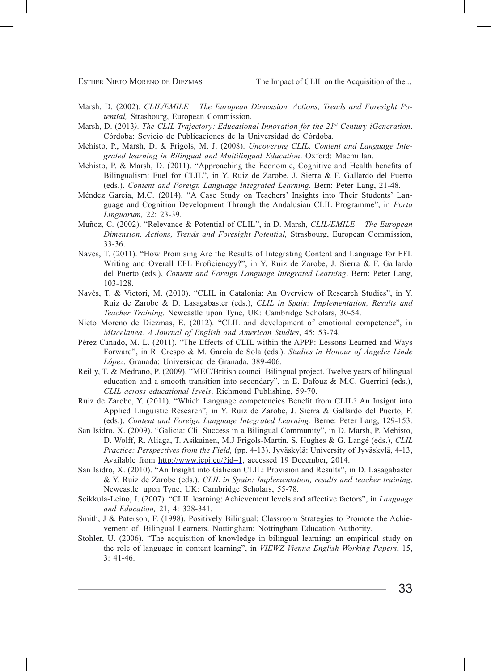- Marsh, D. (2002). *CLIL/EMILE The European Dimension. Actions, Trends and Foresight Potential,* Strasbourg, European Commission.
- Marsh, D. (2013*). The CLIL Trajectory: Educational Innovation for the 21st Century iGeneration*. Córdoba: Sevicio de Publicaciones de la Universidad de Córdoba.
- Mehisto, P., Marsh, D. & Frigols, M. J. (2008). *Uncovering CLIL, Content and Language Integrated learning in Bilingual and Multilingual Education*. Oxford: Macmillan.
- Mehisto, P. & Marsh, D. (2011). "Approaching the Economic, Cognitive and Health benefits of Bilingualism: Fuel for CLIL", in Y. Ruiz de Zarobe, J. Sierra & F. Gallardo del Puerto (eds.). *Content and Foreign Language Integrated Learning.* Bern: Peter Lang, 21-48.
- Méndez García, M.C. (2014). "A Case Study on Teachers' Insights into Their Students' Language and Cognition Development Through the Andalusian CLIL Programme", in *Porta Linguarum,* 22: 23-39.
- Muñoz, C. (2002). "Relevance & Potential of CLIL", in D. Marsh, *CLIL/EMILE The European Dimension. Actions, Trends and Foresight Potential,* Strasbourg, European Commission, 33-36.
- Naves, T. (2011). "How Promising Are the Results of Integrating Content and Language for EFL Writing and Overall EFL Proficiencyy?", in Y. Ruiz de Zarobe, J. Sierra & F. Gallardo del Puerto (eds.), *Content and Foreign Language Integrated Learning*. Bern: Peter Lang, 103-128.
- Navés, T. & Victori, M. (2010). "CLIL in Catalonia: An Overview of Research Studies", in Y. Ruiz de Zarobe & D. Lasagabaster (eds.), *CLIL in Spain: Implementation, Results and Teacher Training*. Newcastle upon Tyne, UK: Cambridge Scholars, 30-54.
- Nieto Moreno de Diezmas, E. (2012). "CLIL and development of emotional competence", in *Miscelanea. A Journal of English and American Studies*, 45: 53-74.
- Pérez Cañado, M. L. (2011). "The Effects of CLIL within the APPP: Lessons Learned and Ways Forward", in R. Crespo & M. García de Sola (eds.). *Studies in Honour of Ángeles Linde López*. Granada: Universidad de Granada, 389-406.
- Reilly, T. & Medrano, P. (2009). "MEC/British council Bilingual project. Twelve years of bilingual education and a smooth transition into secondary", in E. Dafouz & M.C. Guerrini (eds.), *CLIL across educational levels*. Richmond Publishing, 59-70.
- Ruiz de Zarobe, Y. (2011). "Which Language competencies Benefit from CLIL? An Insignt into Applied Linguistic Research", in Y. Ruiz de Zarobe, J. Sierra & Gallardo del Puerto, F. (eds.). *Content and Foreign Language Integrated Learning.* Berne: Peter Lang, 129-153.
- San Isidro, X. (2009). "Galicia: Clil Success in a Bilingual Community", in D. Marsh, P. Mehisto, D. Wolff, R. Aliaga, T. Asikainen, M.J Frigols-Martin, S. Hughes & G. Langé (eds.), *CLIL Practice: Perspectives from the Field,* (pp. 4-13). Jyväskylä: University of Jyväskylä, 4-13, Available from http://www.icpj.eu/?id=1, accessed 19 December, 2014.
- San Isidro, X. (2010). "An Insight into Galician CLIL: Provision and Results", in D. Lasagabaster & Y. Ruiz de Zarobe (eds.). *CLIL in Spain: Implementation, results and teacher training*. Newcastle upon Tyne, UK: Cambridge Scholars, 55-78.
- Seikkula-Leino, J. (2007). "CLIL learning: Achievement levels and affective factors", in *Language and Education,* 21, 4: 328-341.
- Smith, J & Paterson, F. (1998). Positively Bilingual: Classroom Strategies to Promote the Achievement of Bilingual Learners. Nottingham; Nottingham Education Authority.
- Stohler, U. (2006). "The acquisition of knowledge in bilingual learning: an empirical study on the role of language in content learning", in *VIEWZ Vienna English Working Papers*, 15, 3: 41-46.